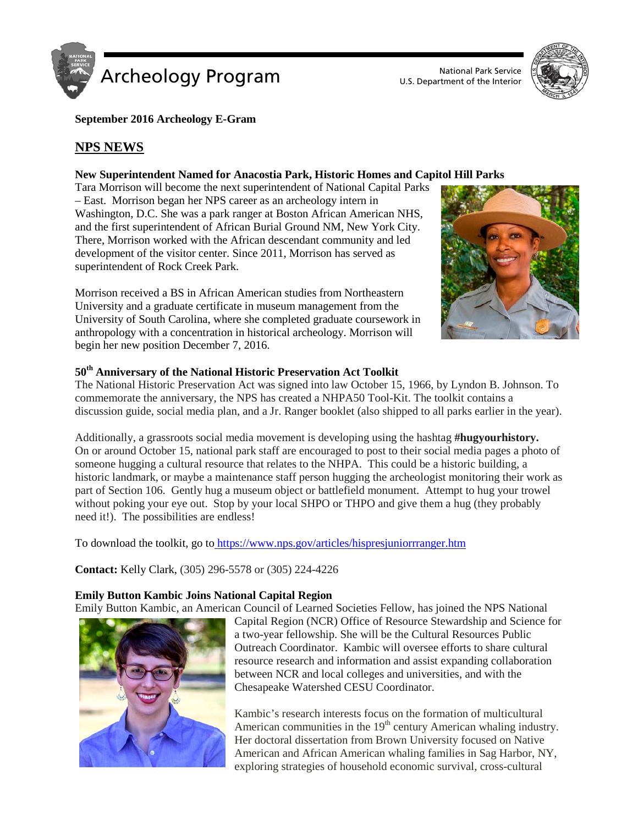



**September 2016 Archeology E-Gram**

# **NPS NEWS**

### **New Superintendent Named for Anacostia Park, Historic Homes and Capitol Hill Parks**

Tara Morrison will become the next superintendent of National Capital Parks – East. Morrison began her NPS career as an archeology intern in Washington, D.C. She was a park ranger at Boston African American NHS, and the first superintendent of African Burial Ground NM, New York City. There, Morrison worked with the African descendant community and led development of the visitor center. Since 2011, Morrison has served as superintendent of Rock Creek Park.

Morrison received a BS in African American studies from Northeastern University and a graduate certificate in museum management from the University of South Carolina, where she completed graduate coursework in anthropology with a concentration in historical archeology. Morrison will begin her new position December 7, 2016.



### **50th Anniversary of the National Historic Preservation Act Toolkit**

The National Historic Preservation Act was signed into law October 15, 1966, by Lyndon B. Johnson. To commemorate the anniversary, the NPS has created a NHPA50 Tool-Kit. The toolkit contains a discussion guide, social media plan, and a Jr. Ranger booklet (also shipped to all parks earlier in the year).

Additionally, a grassroots social media movement is developing using the hashtag **#hugyourhistory.** On or around October 15, national park staff are encouraged to post to their social media pages a photo of someone hugging a cultural resource that relates to the NHPA. This could be a historic building, a historic landmark, or maybe a maintenance staff person hugging the archeologist monitoring their work as part of Section 106. Gently hug a museum object or battlefield monument. Attempt to hug your trowel without poking your eye out. Stop by your local SHPO or THPO and give them a hug (they probably need it!). The possibilities are endless!

To download the toolkit, go to <https://www.nps.gov/articles/hispresjuniorrranger.htm>

**Contact:** Kelly Clark, (305) 296-5578 or (305) 224-4226

## **Emily Button Kambic Joins National Capital Region**

Emily Button Kambic, an American Council of Learned Societies Fellow, has joined the NPS National



Capital Region (NCR) Office of Resource Stewardship and Science for a two-year fellowship. She will be the Cultural Resources Public Outreach Coordinator. Kambic will oversee efforts to share cultural resource research and information and assist expanding collaboration between NCR and local colleges and universities, and with the Chesapeake Watershed CESU Coordinator.

Kambic's research interests focus on the formation of multicultural American communities in the  $19<sup>th</sup>$  century American whaling industry. Her doctoral dissertation from Brown University focused on Native American and African American whaling families in Sag Harbor, NY, exploring strategies of household economic survival, cross-cultural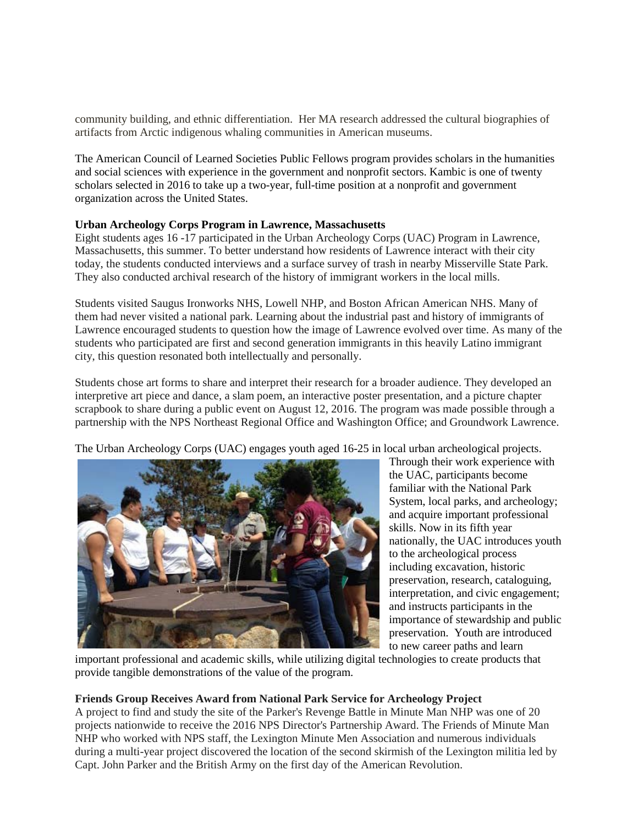community building, and ethnic differentiation. Her MA research addressed the cultural biographies of artifacts from Arctic indigenous whaling communities in American museums.

The American Council of Learned Societies Public Fellows program provides scholars in the humanities and social sciences with experience in the government and nonprofit sectors. Kambic is one of twenty scholars selected in 2016 to take up a two-year, full-time position at a nonprofit and government organization across the United States.

### **Urban Archeology Corps Program in Lawrence, Massachusetts**

Eight students ages 16 -17 participated in the Urban Archeology Corps (UAC) Program in Lawrence, Massachusetts, this summer. To better understand how residents of Lawrence interact with their city today, the students conducted interviews and a surface survey of trash in nearby Misserville State Park. They also conducted archival research of the history of immigrant workers in the local mills.

Students visited Saugus Ironworks NHS, Lowell NHP, and Boston African American NHS. Many of them had never visited a national park. Learning about the industrial past and history of immigrants of Lawrence encouraged students to question how the image of Lawrence evolved over time. As many of the students who participated are first and second generation immigrants in this heavily Latino immigrant city, this question resonated both intellectually and personally.

Students chose art forms to share and interpret their research for a broader audience. They developed an interpretive art piece and dance, a slam poem, an interactive poster presentation, and a picture chapter scrapbook to share during a public event on August 12, 2016. The program was made possible through a partnership with the NPS Northeast Regional Office and Washington Office; and Groundwork Lawrence.

The Urban Archeology Corps (UAC) engages youth aged 16-25 in local urban archeological projects.



Through their work experience with the UAC, participants become familiar with the National Park System, local parks, and archeology; and acquire important professional skills. Now in its fifth year nationally, the UAC introduces youth to the archeological process including excavation, historic preservation, research, cataloguing, interpretation, and civic engagement; and instructs participants in the importance of stewardship and public preservation. Youth are introduced to new career paths and learn

important professional and academic skills, while utilizing digital technologies to create products that provide tangible demonstrations of the value of the program.

### **Friends Group Receives Award from National Park Service for Archeology Project**

A project to find and study the site of the Parker's Revenge Battle in Minute Man NHP was one of 20 projects nationwide to receive the 2016 NPS Director's Partnership Award. The Friends of Minute Man NHP who worked with NPS staff, the Lexington Minute Men Association and numerous individuals during a multi-year project discovered the location of the second skirmish of the Lexington militia led by Capt. John Parker and the British Army on the first day of the American Revolution.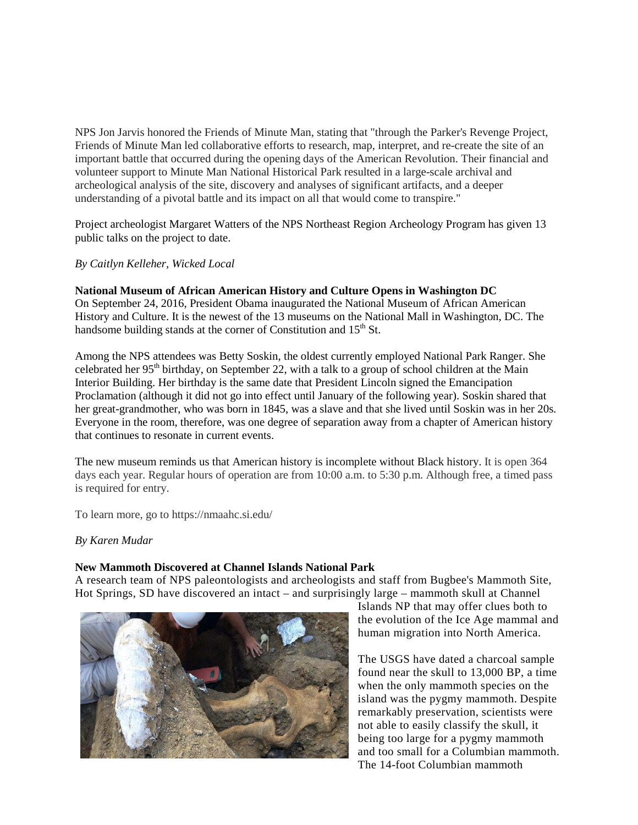NPS Jon Jarvis honored the Friends of Minute Man, stating that "through the Parker's Revenge Project, Friends of Minute Man led collaborative efforts to research, map, interpret, and re-create the site of an important battle that occurred during the opening days of the American Revolution. Their financial and volunteer support to Minute Man National Historical Park resulted in a large-scale archival and archeological analysis of the site, discovery and analyses of significant artifacts, and a deeper understanding of a pivotal battle and its impact on all that would come to transpire."

Project archeologist Margaret Watters of the NPS Northeast Region Archeology Program has given 13 public talks on the project to date.

*By Caitlyn Kelleher, Wicked Local*

**National Museum of African American History and Culture Opens in Washington DC** On September 24, 2016, President Obama inaugurated the National Museum of African American History and Culture. It is the newest of the 13 museums on the National Mall in Washington, DC. The handsome building stands at the corner of Constitution and  $15<sup>th</sup>$  St.

Among the NPS attendees was Betty Soskin, the oldest currently employed National Park Ranger. She celebrated her  $95<sup>th</sup>$  birthday, on September 22, with a talk to a group of school children at the Main Interior Building. Her birthday is the same date that President Lincoln signed the Emancipation Proclamation (although it did not go into effect until January of the following year). Soskin shared that her great-grandmother, who was born in 1845, was a slave and that she lived until Soskin was in her 20s. Everyone in the room, therefore, was one degree of separation away from a chapter of American history that continues to resonate in current events.

The new museum reminds us that American history is incomplete without Black history. It is open 364 days each year. Regular hours of operation are from 10:00 a.m. to 5:30 p.m. Although free, a timed pass is required for entry.

To learn more, go to https://nmaahc.si.edu/

*By Karen Mudar*

#### **New Mammoth Discovered at Channel Islands National Park**

A research team of NPS paleontologists and archeologists and staff from Bugbee's Mammoth Site, Hot Springs, SD have discovered an intact – and surprisingly large – mammoth skull at Channel



Islands NP that may offer clues both to the evolution of the Ice Age mammal and human migration into North America.

The USGS have dated a charcoal sample found near the skull to 13,000 BP, a time when the only mammoth species on the island was the pygmy mammoth. Despite remarkably preservation, scientists were not able to easily classify the skull, it being too large for a pygmy mammoth and too small for a Columbian mammoth. The 14-foot Columbian mammoth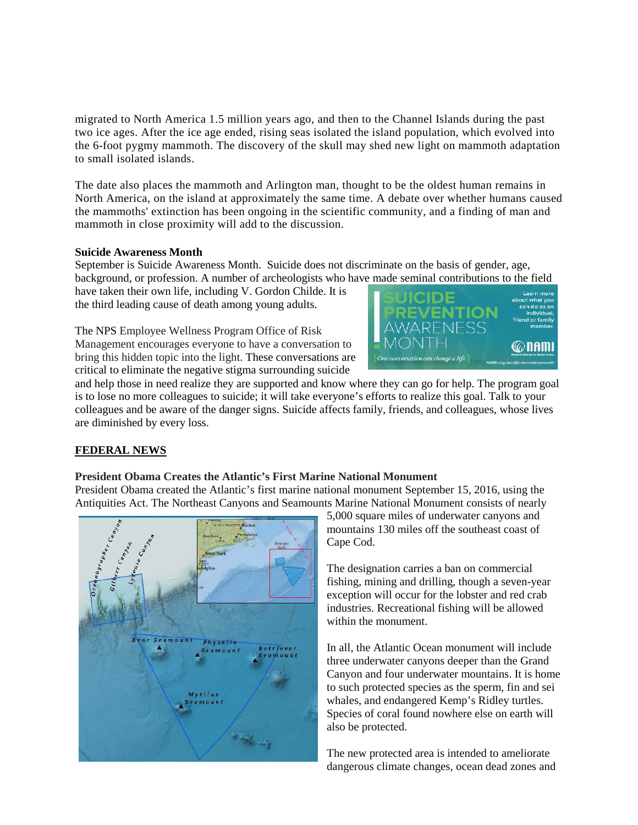migrated to North America 1.5 million years ago, and then to the Channel Islands during the past two ice ages. After the ice age ended, rising seas isolated the island population, which evolved into the 6-foot pygmy mammoth. The discovery of the skull may shed new light on mammoth adaptation to small isolated islands.

The date also places the mammoth and Arlington man, thought to be the oldest human remains in North America, on the island at approximately the same time. A debate over whether humans caused the mammoths' extinction has been ongoing in the scientific community, and a finding of man and mammoth in close proximity will add to the discussion.

#### **Suicide Awareness Month**

September is Suicide Awareness Month. Suicide does not discriminate on the basis of gender, age, background, or profession. A number of archeologists who have made seminal contributions to the field

have taken their own life, including V. Gordon Childe. It is the third leading cause of death among young adults.

The NPS Employee Wellness Program Office of Risk Management encourages everyone to have a conversation to bring this hidden topic into the light. These conversations are critical to eliminate the negative stigma surrounding suicide



and help those in need realize they are supported and know where they can go for help. The program goal is to lose no more colleagues to suicide; it will take everyone's efforts to realize this goal. Talk to your colleagues and be aware of the danger signs. Suicide affects family, friends, and colleagues, whose lives are diminished by every loss.

## **FEDERAL NEWS**

### **President Obama Creates the Atlantic's First Marine National Monument**

President Obama created the Atlantic's first marine national monument September 15, 2016, using the Antiquities Act. The Northeast Canyons and Seamounts Marine National Monument consists of nearly



5,000 square miles of underwater canyons and mountains 130 miles off the southeast coast of Cape Cod.

The designation carries a ban on commercial fishing, mining and drilling, though a seven-year exception will occur for the lobster and red crab industries. Recreational fishing will be allowed within the monument.

In all, the Atlantic Ocean monument will include three underwater canyons deeper than the Grand Canyon and four underwater mountains. It is home to such protected species as the sperm, fin and sei whales, and endangered Kemp's Ridley turtles. Species of coral found nowhere else on earth will also be protected.

The new protected area is intended to ameliorate dangerous climate changes, ocean dead zones and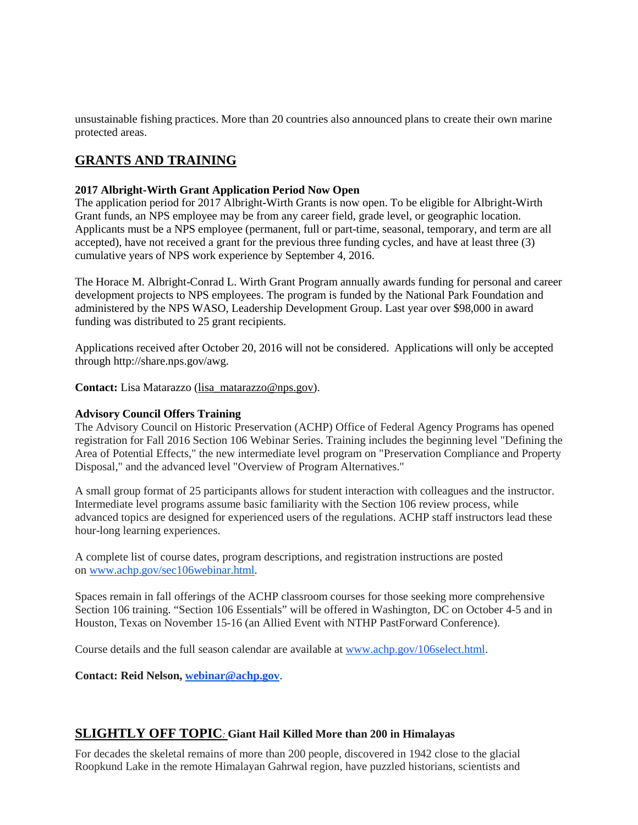unsustainable fishing practices. More than 20 countries also announced plans to create their own marine protected areas.

# **GRANTS AND TRAINING**

#### **2017 Albright-Wirth Grant Application Period Now Open**

The application period for 2017 Albright-Wirth Grants is now open. To be eligible for Albright-Wirth Grant funds, an NPS employee may be from any career field, grade level, or geographic location. Applicants must be a NPS employee (permanent, full or part-time, seasonal, temporary, and term are all accepted), have not received a grant for the previous three funding cycles, and have at least three (3) cumulative years of NPS work experience by September 4, 2016.

The Horace M. Albright-Conrad L. Wirth Grant Program annually awards funding for personal and career development projects to NPS employees. The program is funded by the National Park Foundation and administered by the NPS WASO, Leadership Development Group. Last year over \$98,000 in award funding was distributed to 25 grant recipients.

Applications received after October 20, 2016 will not be considered. Applications will only be accepted through http://share.nps.gov/awg.

**Contact:** Lisa Matarazzo [\(lisa\\_matarazzo@nps.gov\)](https://mail.google.com/mail/?view=cm&fs=1&tf=1&to=lisa_matarazzo@nps.gov).

#### **Advisory Council Offers Training**

The Advisory Council on Historic Preservation (ACHP) Office of Federal Agency Programs has opened registration for Fall 2016 Section 106 Webinar Series. Training includes the beginning level "Defining the Area of Potential Effects," the new intermediate level program on "Preservation Compliance and Property Disposal," and the advanced level "Overview of Program Alternatives."

A small group format of 25 participants allows for student interaction with colleagues and the instructor. Intermediate level programs assume basic familiarity with the Section 106 review process, while advanced topics are designed for experienced users of the regulations. ACHP staff instructors lead these hour-long learning experiences.

A complete list of course dates, program descriptions, and registration instructions are posted on [www.achp.gov/sec106webinar.html.](http://www.achp.gov/sec106webinar.html)

Spaces remain in fall offerings of the ACHP classroom courses for those seeking more comprehensive Section 106 training. "Section 106 Essentials" will be offered in Washington, DC on October 4-5 and in Houston, Texas on November 15-16 (an Allied Event with NTHP PastForward Conference).

Course details and the full season calendar are available at [www.achp.gov/106select.html.](http://www.achp.gov/106select.html)

**Contact: Reid Nelson[, webinar@achp.gov](mailto:webinar@achp.gov)**.

## **SLIGHTLY OFF TOPIC***:* **Giant Hail Killed More than 200 in Himalayas**

For decades the skeletal remains of more than 200 people, discovered in 1942 close to the glacial Roopkund Lake in the remote Himalayan Gahrwal region, have puzzled historians, scientists and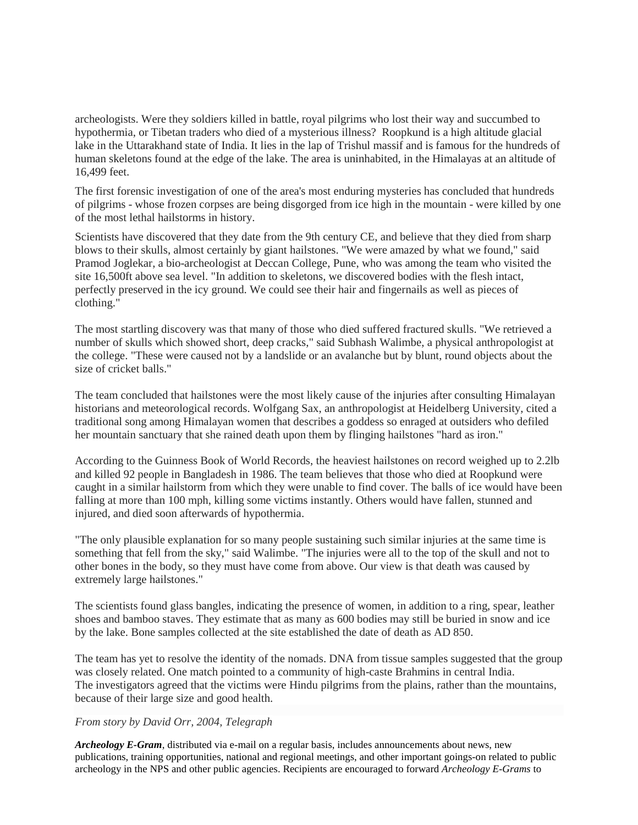archeologists. Were they soldiers killed in battle, royal pilgrims who lost their way and succumbed to hypothermia, or Tibetan traders who died of a mysterious illness? Roopkund is a high altitude glacial lake in the Uttarakhand state of India. It lies in the lap of Trishul massif and is famous for the hundreds of human skeletons found at the edge of the lake. The area is uninhabited, in the Himalayas at an altitude of 16,499 feet.

The first forensic investigation of one of the area's most enduring mysteries has concluded that hundreds of pilgrims - whose frozen corpses are being disgorged from ice high in the mountain - were killed by one of the most lethal hailstorms in history.

Scientists have discovered that they date from the 9th century CE, and believe that they died from sharp blows to their skulls, almost certainly by giant hailstones. "We were amazed by what we found," said Pramod Joglekar, a bio-archeologist at Deccan College, Pune, who was among the team who visited the site 16,500ft above sea level. "In addition to skeletons, we discovered bodies with the flesh intact, perfectly preserved in the icy ground. We could see their hair and fingernails as well as pieces of clothing."

The most startling discovery was that many of those who died suffered fractured skulls. "We retrieved a number of skulls which showed short, deep cracks," said Subhash Walimbe, a physical anthropologist at the college. "These were caused not by a landslide or an avalanche but by blunt, round objects about the size of cricket balls."

The team concluded that hailstones were the most likely cause of the injuries after consulting Himalayan historians and meteorological records. Wolfgang Sax, an anthropologist at Heidelberg University, cited a traditional song among Himalayan women that describes a goddess so enraged at outsiders who defiled her mountain sanctuary that she rained death upon them by flinging hailstones "hard as iron."

According to the Guinness Book of World Records, the heaviest hailstones on record weighed up to 2.2lb and killed 92 people in Bangladesh in 1986. The team believes that those who died at Roopkund were caught in a similar hailstorm from which they were unable to find cover. The balls of ice would have been falling at more than 100 mph, killing some victims instantly. Others would have fallen, stunned and injured, and died soon afterwards of hypothermia.

"The only plausible explanation for so many people sustaining such similar injuries at the same time is something that fell from the sky," said Walimbe. "The injuries were all to the top of the skull and not to other bones in the body, so they must have come from above. Our view is that death was caused by extremely large hailstones."

The scientists found glass bangles, indicating the presence of women, in addition to a ring, spear, leather shoes and bamboo staves. They estimate that as many as 600 bodies may still be buried in snow and ice by the lake. Bone samples collected at the site established the date of death as AD 850.

The team has yet to resolve the identity of the nomads. DNA from tissue samples suggested that the group was closely related. One match pointed to a community of high-caste Brahmins in central India. The investigators agreed that the victims were Hindu pilgrims from the plains, rather than the mountains, because of their large size and good health.

### *From story by David Orr, 2004, Telegraph*

*Archeology E-Gram*, distributed via e-mail on a regular basis, includes announcements about news, new publications, training opportunities, national and regional meetings, and other important goings-on related to public archeology in the NPS and other public agencies. Recipients are encouraged to forward *Archeology E-Grams* to